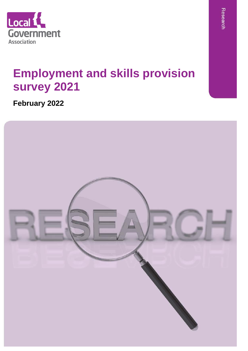

# **Employment and skills provision survey 2021**

**February 2022**

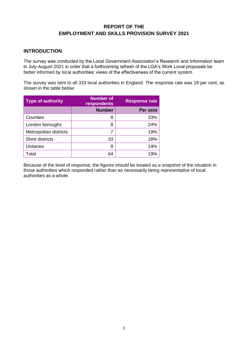# **REPORT OF THE EMPLOYMENT AND SKILLS PROVISION SURVEY 2021**

# **INTRODUCTION**

The survey was conducted by the Local Government Association's Research and Information team in July-August 2021 in order that a forthcoming refresh of the LGA's Work Local proposals be better informed by local authorities' views of the effectiveness of the current system.

The survey was sent to all 333 local authorities in England. The response rate was 19 per cent, as shown in the table below:

| <b>Type of authority</b> | <b>Number of</b><br>respondents | <b>Response rate</b> |
|--------------------------|---------------------------------|----------------------|
|                          | <b>Number</b>                   | Per cent             |
| Counties                 | 8                               | 33%                  |
| London boroughs          | 8                               | 24%                  |
| Metropolitan districts   |                                 | 19%                  |
| Shire districts          | 33                              | 18%                  |
| <b>Unitaries</b>         | 8                               | 14%                  |
| Total                    | 64                              | 19%                  |

Because of the level of response, the figures should be treated as a snapshot of the situation in those authorities which responded rather than as necessarily being representative of local authorities as a whole.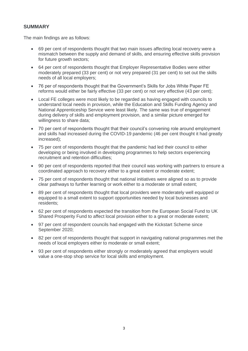# **SUMMARY**

The main findings are as follows:

- 69 per cent of respondents thought that two main issues affecting local recovery were a mismatch between the supply and demand of skills, and ensuring effective skills provision for future growth sectors;
- 64 per cent of respondents thought that Employer Representative Bodies were either moderately prepared (33 per cent) or not very prepared (31 per cent) to set out the skills needs of all local employers;
- 76 per of respondents thought that the Government's Skills for Jobs White Paper FE reforms would either be fairly effective (33 per cent) or not very effective (43 per cent);
- Local FE colleges were most likely to be regarded as having engaged with councils to understand local needs in provision, while the Education and Skills Funding Agency and National Apprenticeship Service were least likely. The same was true of engagement during delivery of skills and employment provision, and a similar picture emerged for willingness to share data;
- 70 per cent of respondents thought that their council's convening role around employment and skills had increased during the COVID-19 pandemic (46 per cent thought it had greatly increased);
- 75 per cent of respondents thought that the pandemic had led their council to either developing or being involved in developing programmes to help sectors experiencing recruitment and retention difficulties;
- 90 per cent of respondents reported that their council was working with partners to ensure a coordinated approach to recovery either to a great extent or moderate extent;
- 75 per cent of respondents thought that national initiatives were aligned so as to provide clear pathways to further learning or work either to a moderate or small extent;
- 89 per cent of respondents thought that local providers were moderately well equipped or equipped to a small extent to support opportunities needed by local businesses and residents;
- 62 per cent of respondents expected the transition from the European Social Fund to UK Shared Prosperity Fund to affect local provision either to a great or moderate extent;
- 97 per cent of respondent councils had engaged with the Kickstart Scheme since September 2020;
- 82 per cent of respondents thought that support in navigating national programmes met the needs of local employers either to moderate or small extent;
- 93 per cent of respondents either strongly or moderately agreed that employers would value a one-stop shop service for local skills and employment.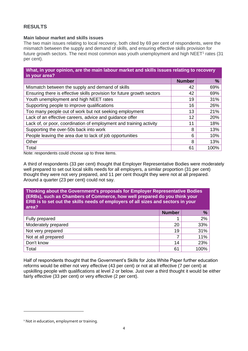# **RESULTS**

## **Main labour market and skills issues**

The two main issues relating to local recovery, both cited by 69 per cent of respondents, were the mismatch between the supply and demand of skills, and ensuring effective skills provision for future growth sectors. The next most common was youth unemployment and high  $NEET<sup>1</sup>$  rates (31 per cent).

| What, in your opinion, are the main labour market and skills issues relating to recovery<br>in your area? |               |      |
|-----------------------------------------------------------------------------------------------------------|---------------|------|
|                                                                                                           | <b>Number</b> | %    |
| Mismatch between the supply and demand of skills                                                          | 42            | 69%  |
| Ensuring there is effective skills provision for future growth sectors                                    | 42            | 69%  |
| Youth unemployment and high NEET rates                                                                    | 19            | 31%  |
| Supporting people to improve qualifications                                                               | 16            | 26%  |
| Too many people out of work but not seeking employment                                                    | 13            | 21%  |
| Lack of an effective careers, advice and guidance offer                                                   | 12            | 20%  |
| Lack of, or poor, coordination of employment and training activity                                        | 11            | 18%  |
| Supporting the over-50s back into work                                                                    | 8             | 13%  |
| People leaving the area due to lack of job opportunities                                                  | 6             | 10%  |
| Other                                                                                                     | 8             | 13%  |
| Total                                                                                                     | 61            | 100% |

Note: respondents could choose up to three items.

A third of respondents (33 per cent) thought that Employer Representative Bodies were moderately well prepared to set out local skills needs for all employers, a similar proportion (31 per cent) thought they were not very prepared, and 11 per cent thought they were not at all prepared. Around a quarter (23 per cent) could not say.

**Thinking about the Government's proposals for Employer Representative Bodies (ERBs), such as Chambers of Commerce, how well prepared do you think your ERB is to set out the skills needs of employers of all sizes and sectors in your area? Number %** Fully prepared 2% Moderately prepared 20 33% Not very prepared and the set of the set of the set of the set of the set of the set of the set of the set of the set of the set of the set of the set of the set of the set of the set of the set of the set of the set of th Not at all prepared 2 11% Don't know 14 23% Total 61 100%

Half of respondents thought that the Government's Skills for Jobs White Paper further education reforms would be either not very effective (43 per cent) or not at all effective (7 per cent) at upskilling people with qualifications at level 2 or below. Just over a third thought it would be either fairly effective (33 per cent) or very effective (2 per cent).

<sup>&</sup>lt;sup>1</sup> Not in education, employment or training.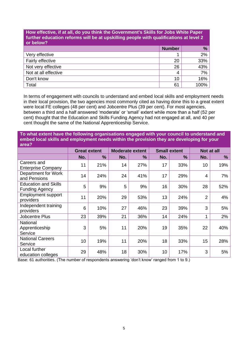#### **How effective, if at all, do you think the Government's Skills for Jobs White Paper further education reforms will be at upskilling people with qualifications at level 2 or below?**

|                      | <b>Number</b> | %    |
|----------------------|---------------|------|
| Very effective       | 1             | 2%   |
| Fairly effective     | 20            | 33%  |
| Not very effective   | 26            | 43%  |
| Not at all effective | 4             | 7%   |
| Don't know           | 10            | 16%  |
| Total                | 61            | 100% |

In terms of engagement with councils to understand and embed local skills and employment needs in their local provision, the two agencies most commonly cited as having done this to a great extent were local FE colleges (48 per cent) and Jobcentre Plus (39 per cent). For most agencies, between a third and a half answered 'moderate' or 'small' extent while more than a half (52 per cent) thought that the Education and Skills Funding Agency had not engaged at all, and 40 per cent thought the same of the National Apprenticeship Service.

**To what extent have the following organisations engaged with your council to understand and embed local skills and employment needs within the provision they are developing for your area?**

|                                                      | <b>Great extent</b> |               | <b>Moderate extent</b> |     |     | <b>Small extent</b> | Not at all     |     |  |
|------------------------------------------------------|---------------------|---------------|------------------------|-----|-----|---------------------|----------------|-----|--|
|                                                      | No.                 | $\frac{9}{6}$ | No.                    | %   | No. | $\frac{9}{6}$       | No.            | %   |  |
| Careers and<br><b>Enterprise Company</b>             | 11                  | 21%           | 14                     | 27% | 17  | 33%                 | 10             | 19% |  |
| Department for Work<br>and Pensions                  | 14                  | 24%           | 24                     | 41% | 17  | 29%                 | $\overline{4}$ | 7%  |  |
| <b>Education and Skills</b><br><b>Funding Agency</b> | 5                   | 9%            | 5                      | 9%  | 16  | 30%                 | 28             | 52% |  |
| <b>Employment support</b><br>providers               | 11                  | 20%           | 29                     | 53% | 13  | 24%                 | $\overline{2}$ | 4%  |  |
| Independent training<br>providers                    | 6                   | 10%           | 27                     | 46% | 23  | 39%                 | 3              | 5%  |  |
| <b>Jobcentre Plus</b>                                | 23                  | 39%           | 21                     | 36% | 14  | 24%                 | 1              | 2%  |  |
| National<br>Apprenticeship<br>Service                | 3                   | 5%            | 11                     | 20% | 19  | 35%                 | 22             | 40% |  |
| <b>National Careers</b><br>Service                   | 10                  | 19%           | 11                     | 20% | 18  | 33%                 | 15             | 28% |  |
| Local further<br>education colleges                  | 29                  | 48%           | 18                     | 30% | 10  | 17%                 | 3              | 5%  |  |

Base: 61 authorities. (The number of respondents answering 'don't know' ranged from 1 to 9.)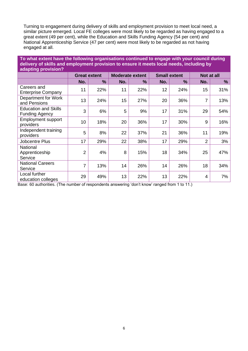Turning to engagement during delivery of skills and employment provision to meet local need, a similar picture emerged. Local FE colleges were most likely to be regarded as having engaged to a great extent (49 per cent), while the Education and Skills Funding Agency (54 per cent) and National Apprenticeship Service (47 per cent) were most likely to be regarded as not having engaged at all.

## **To what extent have the following organisations continued to engage with your council during delivery of skills and employment provision to ensure it meets local needs, including by adapting provision?**

|                                                      | <b>Great extent</b> |               | <b>Moderate extent</b> |               |     | <b>Small extent</b> | Not at all     |      |  |
|------------------------------------------------------|---------------------|---------------|------------------------|---------------|-----|---------------------|----------------|------|--|
|                                                      | No.                 | $\frac{9}{6}$ | No.                    | $\frac{9}{6}$ | No. | $\frac{9}{6}$       | No.            | $\%$ |  |
| Careers and<br><b>Enterprise Company</b>             | 11                  | 22%           | 11                     | 22%           | 12  | 24%                 | 15             | 31%  |  |
| Department for Work<br>and Pensions                  | 13                  | 24%           | 15                     | 27%           | 20  | 36%                 | $\overline{7}$ | 13%  |  |
| <b>Education and Skills</b><br><b>Funding Agency</b> | 3                   | 6%            | 5                      | 9%            | 17  | 31%                 | 29             | 54%  |  |
| <b>Employment support</b><br>providers               | 10                  | 18%           | 20                     | 36%           | 17  | 30%                 | 9              | 16%  |  |
| Independent training<br>providers                    | 5                   | 8%            | 22                     | 37%           | 21  | 36%                 | 11             | 19%  |  |
| <b>Jobcentre Plus</b>                                | 17                  | 29%           | 22                     | 38%           | 17  | 29%                 | $\overline{2}$ | 3%   |  |
| National<br>Apprenticeship<br>Service                | $\overline{2}$      | 4%            | 8                      | 15%           | 18  | 34%                 | 25             | 47%  |  |
| <b>National Careers</b><br>Service                   | 7                   | 13%           | 14                     | 26%           | 14  | 26%                 | 18             | 34%  |  |
| Local further<br>education colleges                  | 29                  | 49%           | 13                     | 22%           | 13  | 22%                 | $\overline{4}$ | 7%   |  |

Base: 60 authorities. (The number of respondents answering 'don't know' ranged from 1 to 11.)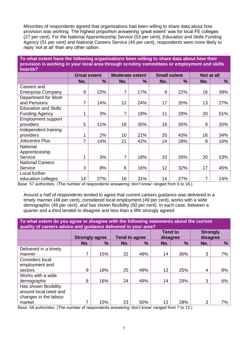Minorities of respondents agreed that organisations had been willing to share data about how provision was working. The highest proportion answering 'great extent' was for local FE colleges (27 per cent). For the National Apprenticeship Service (53 per cent), Education and Skills Funding Agency (51 per cent) and National Careers Service (45 per cent), respondents were more likely to reply 'not at all' than any other option.

## **To what extent have the following organisations been willing to share data about how their provision is working in your local area through scrutiny committees or employment and skills boards?**

|                             | <b>Great extent</b> |      | <b>Moderate extent</b> |     | <b>Small extent</b> |               | Not at all |     |
|-----------------------------|---------------------|------|------------------------|-----|---------------------|---------------|------------|-----|
|                             | No.                 | $\%$ | No.                    | %   | No.                 | $\frac{9}{6}$ | No.        | %   |
| Careers and                 |                     |      |                        |     |                     |               |            |     |
| <b>Enterprise Company</b>   | 9                   | 22%  | 7                      | 17% | 9                   | 22%           | 16         | 39% |
| Department for Work         |                     |      |                        |     |                     |               |            |     |
| and Pensions                | 7                   | 14%  | 12 <sub>2</sub>        | 24% | 17                  | 35%           | 13         | 27% |
| <b>Education and Skills</b> |                     |      |                        |     |                     |               |            |     |
| <b>Funding Agency</b>       |                     | 3%   | 7                      | 18% | 11                  | 28%           | 20         | 51% |
| <b>Employment support</b>   |                     |      |                        |     |                     |               |            |     |
| providers                   | 5                   | 11%  | 16                     | 35% | 16                  | 35%           | 9          | 20% |
| Independent training        |                     |      |                        |     |                     |               |            |     |
| providers                   |                     | 2%   | 10 <sup>1</sup>        | 21% | 20                  | 43%           | 16         | 34% |
| <b>Jobcentre Plus</b>       | 7                   | 14%  | 21                     | 42% | 14                  | 28%           | 8          | 16% |
| National                    |                     |      |                        |     |                     |               |            |     |
| Apprenticeship              |                     |      |                        |     |                     |               |            |     |
| Service                     |                     | 3%   | 7                      | 18% | 10                  | 26%           | 20         | 53% |
| <b>National Careers</b>     |                     |      |                        |     |                     |               |            |     |
| Service                     | 3                   | 8%   | 6                      | 16% | 12                  | 32%           | 17         | 45% |
| Local further               |                     |      |                        |     |                     |               |            |     |
| education colleges          | 14                  | 27%  | 16                     | 31% | 14                  | 27%           | 7          | 14% |

Base: 57 authorities. (The number of respondents answering 'don't know' ranged from 6 to 18.)

Around a half of respondents tended to agree that current careers guidance was delivered in a timely manner (48 per cent), considered local employment (49 per cent), works with a wide demographic (49 per cent), and has shown flexibility (50 per cent). In each case, between a quarter and a third tended to disagree and less than a fifth strongly agreed.

**To what extent do you agree or disagree with the following statements about the current quality of careers advice and guidance delivered in your area?**

| gaant, of our ours autrice and garagered achitecture in Jour and a |                       |     |                      |               |                            |     |                             |    |
|--------------------------------------------------------------------|-----------------------|-----|----------------------|---------------|----------------------------|-----|-----------------------------|----|
|                                                                    | <b>Strongly agree</b> |     | <b>Tend to agree</b> |               | <b>Tend to</b><br>disagree |     | <b>Strongly</b><br>disagree |    |
|                                                                    | No.                   | %   | No.                  | $\frac{9}{6}$ | No.                        | %   | No.                         | %  |
| Delivered in a timely                                              |                       |     |                      |               |                            |     |                             |    |
| manner                                                             | 7                     | 15% | 22                   | 48%           | 14                         | 30% | 3                           | 7% |
| Considers local                                                    |                       |     |                      |               |                            |     |                             |    |
| employment and                                                     |                       |     |                      |               |                            |     |                             |    |
| sectors                                                            | 9                     | 18% | 25                   | 49%           | 13                         | 25% | 4                           | 8% |
| Works with a wide                                                  |                       |     |                      |               |                            |     |                             |    |
| demographic                                                        | 8                     | 16% | 24                   | 49%           | 14                         | 29% | 3                           | 6% |
| Has shown flexibility                                              |                       |     |                      |               |                            |     |                             |    |
| around local need and                                              |                       |     |                      |               |                            |     |                             |    |
| changes in the labour                                              |                       |     |                      |               |                            |     |                             |    |
| market                                                             | 7                     | 15% | 23                   | 50%           | 13                         | 28% | 3                           | 7% |

Base: 58 authorities. (The number of respondents answering 'don't know' ranged from 7 to 12.)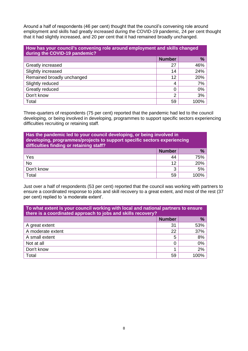Around a half of respondents (46 per cent) thought that the council's convening role around employment and skills had greatly increased during the COVID-19 pandemic, 24 per cent thought that it had slightly increased, and 20 per cent that it had remained broadly unchanged.

| How has your council's convening role around employment and skills changed<br>during the COVID-19 pandemic? |               |      |  |  |  |
|-------------------------------------------------------------------------------------------------------------|---------------|------|--|--|--|
|                                                                                                             | <b>Number</b> | $\%$ |  |  |  |
| Greatly increased                                                                                           | 27            | 46%  |  |  |  |
| Slightly increased                                                                                          | 14            | 24%  |  |  |  |
| Remained broadly unchanged                                                                                  | 12            | 20%  |  |  |  |
| Slightly reduced                                                                                            | 4             | 7%   |  |  |  |
| Greatly reduced                                                                                             | 0             | 0%   |  |  |  |
| Don't know                                                                                                  | 2             | 3%   |  |  |  |
| Total                                                                                                       | 59            | 100% |  |  |  |

Three-quarters of respondents (75 per cent) reported that the pandemic had led to the council developing, or being involved in developing, programmes to support specific sectors experiencing difficulties recruiting or retaining staff.

| Has the pandemic led to your council developing, or being involved in<br>developing, programmes/projects to support specific sectors experiencing<br>difficulties finding or retaining staff? |               |         |  |  |  |  |
|-----------------------------------------------------------------------------------------------------------------------------------------------------------------------------------------------|---------------|---------|--|--|--|--|
|                                                                                                                                                                                               | <b>Number</b> | %       |  |  |  |  |
| Yes                                                                                                                                                                                           | 44            | 75%     |  |  |  |  |
| <b>No</b>                                                                                                                                                                                     | 12            | 20%     |  |  |  |  |
| Don't know                                                                                                                                                                                    | 3             | 5%      |  |  |  |  |
| Total                                                                                                                                                                                         | 59            | 1 በበዓ⁄- |  |  |  |  |

Just over a half of respondents (53 per cent) reported that the council was working with partners to ensure a coordinated response to jobs and skill recovery to a great extent, and most of the rest (37 per cent) replied to 'a moderate extent'.

| To what extent is your council working with local and national partners to ensure<br>there is a coordinated approach to jobs and skills recovery? |               |      |  |  |  |  |
|---------------------------------------------------------------------------------------------------------------------------------------------------|---------------|------|--|--|--|--|
|                                                                                                                                                   | <b>Number</b> | %    |  |  |  |  |
| A great extent                                                                                                                                    | 31            | 53%  |  |  |  |  |
| A moderate extent                                                                                                                                 | 22            | 37%  |  |  |  |  |
| A small extent                                                                                                                                    | 5             | 8%   |  |  |  |  |
| Not at all                                                                                                                                        | 0             | 0%   |  |  |  |  |
| Don't know                                                                                                                                        |               | 2%   |  |  |  |  |
| Total                                                                                                                                             | 59            | 100% |  |  |  |  |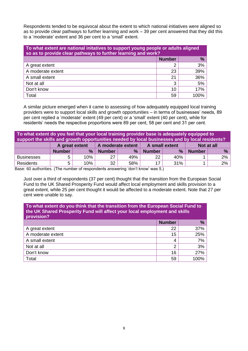Respondents tended to be equivocal about the extent to which national initiatives were aligned so as to provide clear pathways to further learning and work – 39 per cent answered that they did this to a 'moderate' extent and 36 per cent to a 'small' extent.

| To what extent are national initatives to support young people or adults aligned<br>so as to provide clear pathways to further learning and work? |               |      |  |  |  |  |
|---------------------------------------------------------------------------------------------------------------------------------------------------|---------------|------|--|--|--|--|
|                                                                                                                                                   | <b>Number</b> | $\%$ |  |  |  |  |
| A great extent                                                                                                                                    | າ             | 3%   |  |  |  |  |
| A moderate extent                                                                                                                                 | 23            | 39%  |  |  |  |  |
| A small extent                                                                                                                                    | 21            | 36%  |  |  |  |  |
| Not at all                                                                                                                                        | 3             | 5%   |  |  |  |  |
| Don't know                                                                                                                                        | 10            | 17%  |  |  |  |  |
| Total                                                                                                                                             | 59            | 100% |  |  |  |  |

A similar picture emerged when it came to assessing of how adequately equipped local training providers were to support local skills and growth opportunities – in terms of businesses' needs, 89 per cent replied a 'moderate' extent (49 per cent) or a 'small' extent (40 per cent), while for residents' needs the respective proportions were 89 per cent, 58 per cent and 31 per cent.

| To what extent do you feel that your local training provider base is adequately equipped to<br>support the skills and growth opportunities needed by local businesses and by local residents? |               |                |               |                   |               |                |               |       |
|-----------------------------------------------------------------------------------------------------------------------------------------------------------------------------------------------|---------------|----------------|---------------|-------------------|---------------|----------------|---------------|-------|
|                                                                                                                                                                                               |               | A great extent |               | A moderate extent |               | A small extent | Not at all    |       |
|                                                                                                                                                                                               | <b>Number</b> | $\frac{9}{6}$  | <b>Number</b> | $\%$              | <b>Number</b> | %              | <b>Number</b> | %     |
| <b>Businesses</b>                                                                                                                                                                             |               | 10%            | 27            | 49%               | 22            | 40%            |               | $2\%$ |
| <b>Residents</b>                                                                                                                                                                              |               | 10%            | 32            | 58%               | 17            | 31%            |               | 2%    |

Base: 60 authorities. (The number of respondents answering 'don't know' was 5.)

Just over a third of respondents (37 per cent) thought that the transition from the European Social Fund to the UK Shared Prosperity Fund would affect local employment and skills provision to a great extent, while 25 per cent thought it would be affected to a moderate extent. Note that 27 per cent were unable to say.

| To what extent do you think that the transition from the European Social Fund to<br>the UK Shared Prosperity Fund will affect your local employment and skills<br>provision? |               |               |  |
|------------------------------------------------------------------------------------------------------------------------------------------------------------------------------|---------------|---------------|--|
|                                                                                                                                                                              | <b>Number</b> | $\frac{9}{6}$ |  |
| A great extent                                                                                                                                                               | 22            | 37%           |  |
| A moderate extent                                                                                                                                                            | 15            | 25%           |  |
| A small extent                                                                                                                                                               | 4             | 7%            |  |
| Not at all                                                                                                                                                                   | 2             | 3%            |  |
| Don't know                                                                                                                                                                   | 16            | 27%           |  |
| Total                                                                                                                                                                        | 59            | 100%          |  |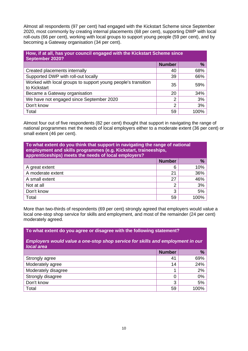Almost all respondents (97 per cent) had engaged with the Kickstart Scheme since September 2020, most commonly by creating internal placements (68 per cent), supporting DWP with local roll-outs (66 per cent), working with local groups to support young people (59 per cent), and by becoming a Gateway organisation (34 per cent).

| How, if at all, has your council engaged with the Kickstart Scheme since<br>September 2020? |                |      |  |  |
|---------------------------------------------------------------------------------------------|----------------|------|--|--|
|                                                                                             | <b>Number</b>  | %    |  |  |
| Created placements internally                                                               | 40             | 68%  |  |  |
| Supported DWP with roll-out locally                                                         | 39             | 66%  |  |  |
| Worked with local groups to support young people's transition<br>to Kickstart               | 35             | 59%  |  |  |
| Became a Gateway organisation                                                               | 20             | 34%  |  |  |
| We have not engaged since September 2020                                                    | $\overline{2}$ | 3%   |  |  |
| Don't know                                                                                  | 2              | 3%   |  |  |
| Total                                                                                       | 59             | 100% |  |  |

Almost four out of five respondents (82 per cent) thought that support in navigating the range of national programmes met the needs of local employers either to a moderate extent (36 per cent) or small extent (46 per cent).

| To what extent do you think that support in navigating the range of national<br>employment and skills programmes (e.g. Kickstart, traineeships,<br>apprenticeships) meets the needs of local employers? |               |               |  |
|---------------------------------------------------------------------------------------------------------------------------------------------------------------------------------------------------------|---------------|---------------|--|
|                                                                                                                                                                                                         | <b>Number</b> | $\frac{9}{6}$ |  |
| A great extent                                                                                                                                                                                          | 6             | 10%           |  |
| A moderate extent                                                                                                                                                                                       | 21            | 36%           |  |
| A small extent                                                                                                                                                                                          | 27            | 46%           |  |
| Not at all                                                                                                                                                                                              | າ             | 3%            |  |
| Don't know                                                                                                                                                                                              | 3             | 5%            |  |
| Total                                                                                                                                                                                                   | 59            | $100\%$       |  |

More than two-thirds of respondents (69 per cent) strongly agreed that employers would value a local one-stop shop service for skills and employment, and most of the remainder (24 per cent) moderately agreed.

## **To what extent do you agree or disagree with the following statement?**

*Employers would value a one-stop shop service for skills and employment in our local area*

|                     | <b>Number</b> | %     |
|---------------------|---------------|-------|
| Strongly agree      | 41            | 69%   |
| Moderately agree    | 14            | 24%   |
| Moderately disagree | 4             | 2%    |
| Strongly disagree   | 0             | $0\%$ |
| Don't know          | 3             | 5%    |
| Total               | 59            | 100%  |